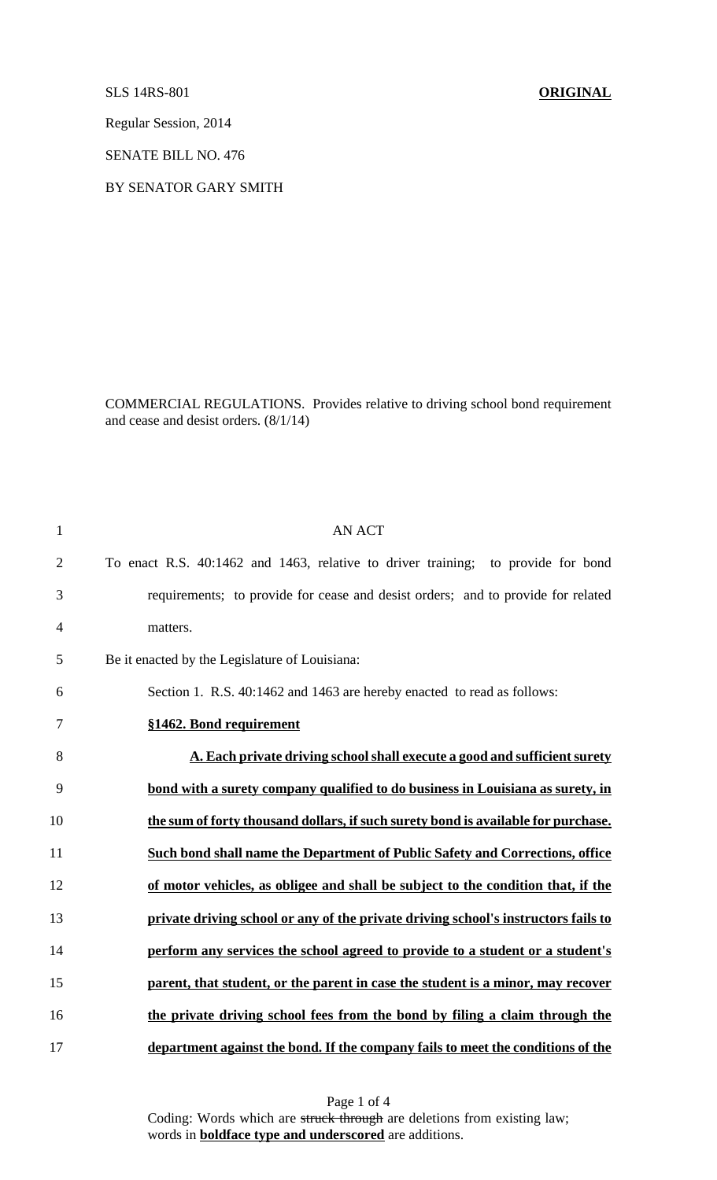SLS 14RS-801 **ORIGINAL** 

Regular Session, 2014

SENATE BILL NO. 476

BY SENATOR GARY SMITH

COMMERCIAL REGULATIONS. Provides relative to driving school bond requirement and cease and desist orders. (8/1/14)

| $\mathbf{1}$   | <b>AN ACT</b>                                                                      |
|----------------|------------------------------------------------------------------------------------|
| $\overline{2}$ | To enact R.S. 40:1462 and 1463, relative to driver training; to provide for bond   |
| 3              | requirements; to provide for cease and desist orders; and to provide for related   |
| $\overline{4}$ | matters.                                                                           |
| 5              | Be it enacted by the Legislature of Louisiana:                                     |
| 6              | Section 1. R.S. 40:1462 and 1463 are hereby enacted to read as follows:            |
| 7              | §1462. Bond requirement                                                            |
| 8              | A. Each private driving school shall execute a good and sufficient surety          |
| 9              | bond with a surety company qualified to do business in Louisiana as surety, in     |
| 10             | the sum of forty thousand dollars, if such surety bond is available for purchase.  |
| 11             | Such bond shall name the Department of Public Safety and Corrections, office       |
| 12             | of motor vehicles, as obligee and shall be subject to the condition that, if the   |
| 13             | private driving school or any of the private driving school's instructors fails to |
| 14             | perform any services the school agreed to provide to a student or a student's      |
| 15             | parent, that student, or the parent in case the student is a minor, may recover    |
| 16             | the private driving school fees from the bond by filing a claim through the        |
| 17             | department against the bond. If the company fails to meet the conditions of the    |

Page 1 of 4 Coding: Words which are struck through are deletions from existing law; words in **boldface type and underscored** are additions.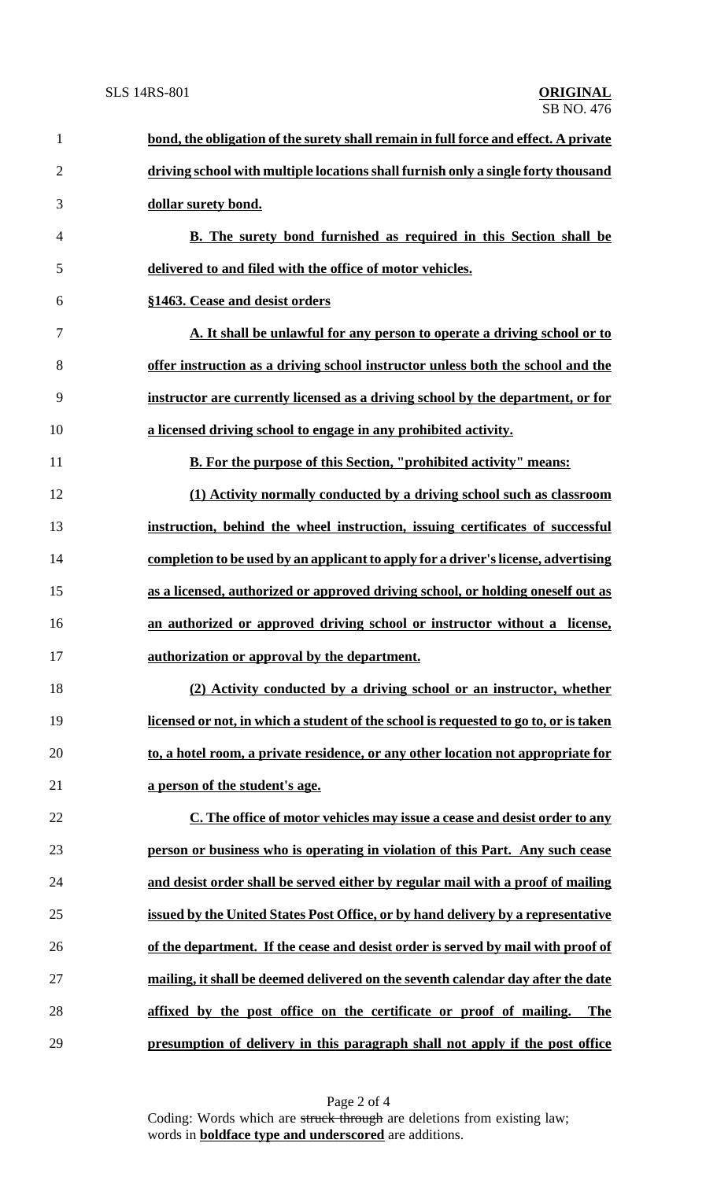| $\mathbf{1}$ | bond, the obligation of the surety shall remain in full force and effect. A private  |
|--------------|--------------------------------------------------------------------------------------|
| $\mathbf{2}$ | driving school with multiple locations shall furnish only a single forty thousand    |
| 3            | dollar surety bond.                                                                  |
| 4            | <b>B.</b> The surety bond furnished as required in this Section shall be             |
| 5            | delivered to and filed with the office of motor vehicles.                            |
| 6            | §1463. Cease and desist orders                                                       |
| 7            | A. It shall be unlawful for any person to operate a driving school or to             |
| 8            | offer instruction as a driving school instructor unless both the school and the      |
| 9            | instructor are currently licensed as a driving school by the department, or for      |
| 10           | a licensed driving school to engage in any prohibited activity.                      |
| 11           | B. For the purpose of this Section, "prohibited activity" means:                     |
| 12           | (1) Activity normally conducted by a driving school such as classroom                |
| 13           | instruction, behind the wheel instruction, issuing certificates of successful        |
| 14           | completion to be used by an applicant to apply for a driver's license, advertising   |
| 15           | as a licensed, authorized or approved driving school, or holding oneself out as      |
| 16           | an authorized or approved driving school or instructor without a license,            |
| 17           | authorization or approval by the department.                                         |
| 18           | (2) Activity conducted by a driving school or an instructor, whether                 |
| 19           | licensed or not, in which a student of the school is requested to go to, or is taken |
| 20           | to, a hotel room, a private residence, or any other location not appropriate for     |
| 21           | a person of the student's age.                                                       |
| 22           | C. The office of motor vehicles may issue a cease and desist order to any            |
| 23           | person or business who is operating in violation of this Part. Any such cease        |
| 24           | and desist order shall be served either by regular mail with a proof of mailing      |
| 25           | issued by the United States Post Office, or by hand delivery by a representative     |
| 26           | of the department. If the cease and desist order is served by mail with proof of     |
| 27           | mailing, it shall be deemed delivered on the seventh calendar day after the date     |
| 28           | affixed by the post office on the certificate or proof of mailing.<br><b>The</b>     |
| 29           | presumption of delivery in this paragraph shall not apply if the post office         |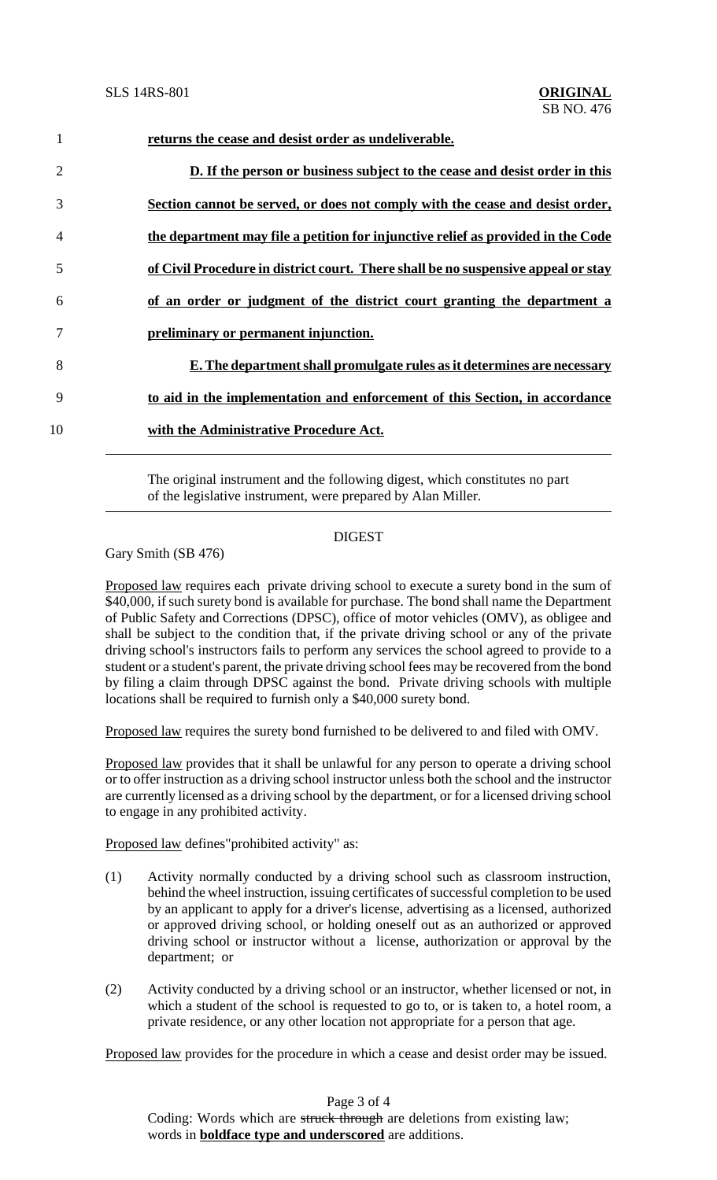| $\mathbf{1}$   | returns the cease and desist order as undeliverable.                              |
|----------------|-----------------------------------------------------------------------------------|
| $\overline{2}$ | D. If the person or business subject to the cease and desist order in this        |
| 3              | Section cannot be served, or does not comply with the cease and desist order,     |
| $\overline{4}$ | the department may file a petition for injunctive relief as provided in the Code  |
| 5              | of Civil Procedure in district court. There shall be no suspensive appeal or stay |
| 6              | of an order or judgment of the district court granting the department a           |
|                | preliminary or permanent injunction.                                              |
| 8              | E. The department shall promulgate rules as it determines are necessary           |
| 9              | to aid in the implementation and enforcement of this Section, in accordance       |
| 10             | with the Administrative Procedure Act.                                            |

The original instrument and the following digest, which constitutes no part of the legislative instrument, were prepared by Alan Miller.

## DIGEST

Gary Smith (SB 476)

Proposed law requires each private driving school to execute a surety bond in the sum of \$40,000, if such surety bond is available for purchase. The bond shall name the Department of Public Safety and Corrections (DPSC), office of motor vehicles (OMV), as obligee and shall be subject to the condition that, if the private driving school or any of the private driving school's instructors fails to perform any services the school agreed to provide to a student or a student's parent, the private driving school fees may be recovered from the bond by filing a claim through DPSC against the bond. Private driving schools with multiple locations shall be required to furnish only a \$40,000 surety bond.

Proposed law requires the surety bond furnished to be delivered to and filed with OMV.

Proposed law provides that it shall be unlawful for any person to operate a driving school or to offer instruction as a driving school instructor unless both the school and the instructor are currently licensed as a driving school by the department, or for a licensed driving school to engage in any prohibited activity.

Proposed law defines"prohibited activity" as:

- (1) Activity normally conducted by a driving school such as classroom instruction, behind the wheel instruction, issuing certificates of successful completion to be used by an applicant to apply for a driver's license, advertising as a licensed, authorized or approved driving school, or holding oneself out as an authorized or approved driving school or instructor without a license, authorization or approval by the department; or
- (2) Activity conducted by a driving school or an instructor, whether licensed or not, in which a student of the school is requested to go to, or is taken to, a hotel room, a private residence, or any other location not appropriate for a person that age.

Proposed law provides for the procedure in which a cease and desist order may be issued.